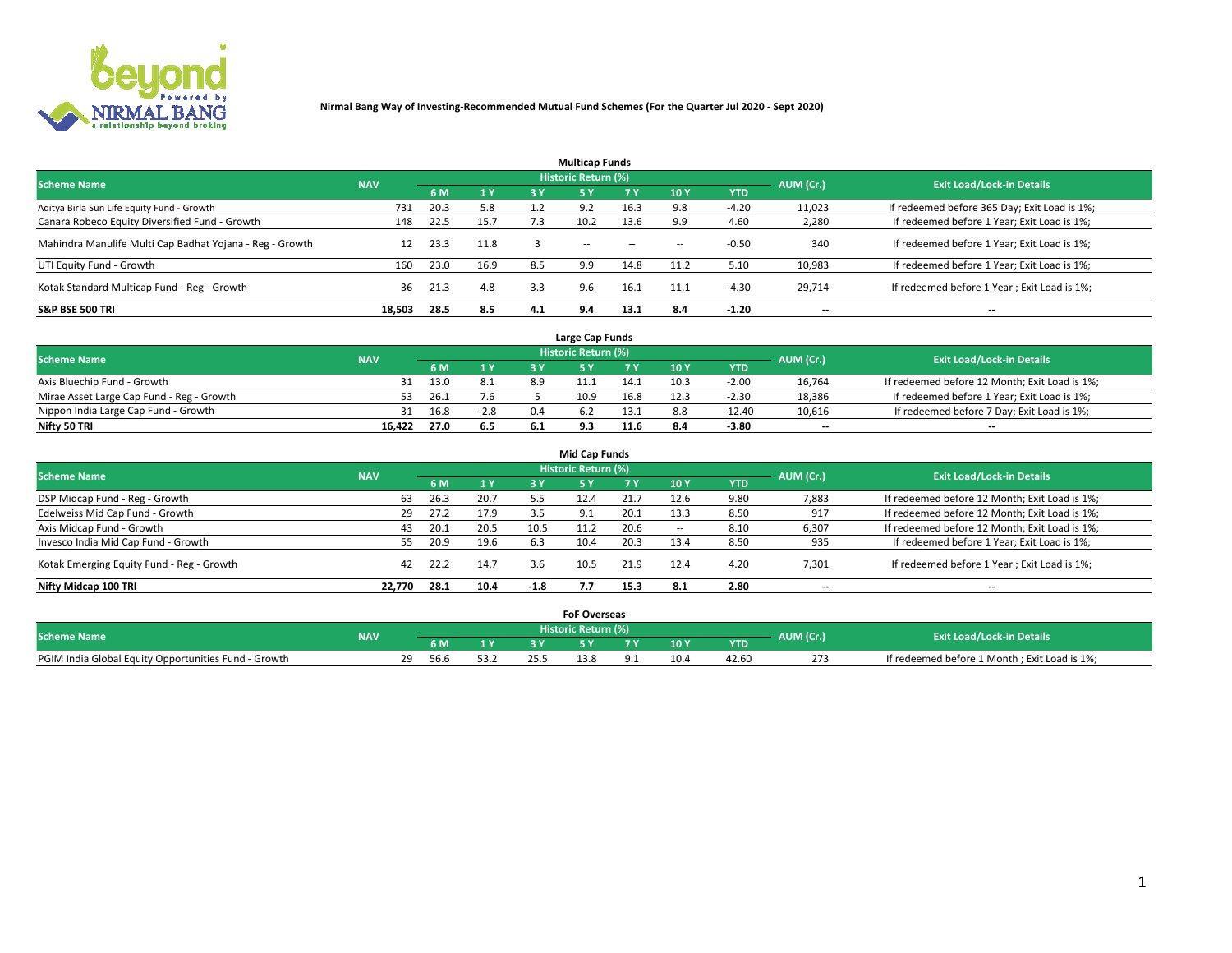

|                                                          |            |      |                |     | <b>Multicap Funds</b> |           |      |            |           |                                              |
|----------------------------------------------------------|------------|------|----------------|-----|-----------------------|-----------|------|------------|-----------|----------------------------------------------|
| <b>Scheme Name</b>                                       | <b>NAV</b> |      |                |     | Historic Return (%)   |           |      |            | AUM (Cr.) | <b>Exit Load/Lock-in Details</b>             |
|                                                          |            | 6 M  | 1 <sub>Y</sub> | 3 Y | -5 Y                  | <b>7Y</b> | 10Y  | <b>YTD</b> |           |                                              |
| Aditya Birla Sun Life Equity Fund - Growth               | 731        | 20.3 | 5.8            |     | 9.2                   | 16.3      |      | $-4.20$    | 11,023    | If redeemed before 365 Day; Exit Load is 1%; |
| Canara Robeco Equity Diversified Fund - Growth           | 148        | 22.5 | 15.7           | 7.3 | 10.2                  | 13.6      | 9.9  | 4.60       | 2,280     | If redeemed before 1 Year; Exit Load is 1%;  |
| Mahindra Manulife Multi Cap Badhat Yojana - Reg - Growth | 12         | 23.3 | 11.8           |     | $\sim$                | $\sim$    | $-$  | $-0.50$    | 340       | If redeemed before 1 Year; Exit Load is 1%;  |
| UTI Equity Fund - Growth                                 | 160        | 23.0 | 16.9           | 8.5 | 9.9                   | 14.8      | 11.2 | 5.10       | 10,983    | If redeemed before 1 Year; Exit Load is 1%;  |
| Kotak Standard Multicap Fund - Reg - Growth              | 36         | 21.3 | 4.8            | 3.3 | 9.6                   | 16.1      | 11.1 | $-4.30$    | 29.714    | If redeemed before 1 Year; Exit Load is 1%;  |
| <b>S&amp;P BSE 500 TRI</b>                               | 18.503     | 28.5 | 8.5            | 4.1 | 9.4                   | 13.1      | 8.4  | $-1.20$    | --        | $- -$                                        |

|                                           |            |      |        |      | Large Cap Funds     |      |      |            |                          |                                               |
|-------------------------------------------|------------|------|--------|------|---------------------|------|------|------------|--------------------------|-----------------------------------------------|
| <b>Scheme Name</b>                        | <b>NAV</b> |      |        |      | Historic Return (%) |      |      |            | AUM (Cr.)                | <b>Exit Load/Lock-in Details</b>              |
|                                           |            | 6 M  | 4V     |      |                     |      | 10 Y | <b>YTD</b> |                          |                                               |
| Axis Bluechip Fund - Growth               | 31         | 13.0 | 8.1    | 8.9  |                     | 14.1 | 10.3 | $-2.0C$    | 16,764                   | If redeemed before 12 Month; Exit Load is 1%; |
| Mirae Asset Large Cap Fund - Reg - Growth |            | 26.1 | 7.6    |      | 10.9                | 16.8 | 12.3 | $-2.30$    | 18,386                   | If redeemed before 1 Year; Exit Load is 1%;   |
| Nippon India Large Cap Fund - Growth      |            | 16.8 | $-2.8$ | 0.4  |                     | 13.1 |      | $-12.40$   | 10,616                   | If redeemed before 7 Day; Exit Load is 1%;    |
| Nifty 50 TRI                              | 16.422     | 27.0 | 6.5    | -6.1 |                     | 11.6 |      | $-3.80$    | $\overline{\phantom{a}}$ | $- -$                                         |

| <b>Mid Cap Funds</b>                      |            |      |      |        |                            |      |                          |            |                          |                                               |  |  |  |
|-------------------------------------------|------------|------|------|--------|----------------------------|------|--------------------------|------------|--------------------------|-----------------------------------------------|--|--|--|
| <b>Scheme Name</b>                        | <b>NAV</b> |      |      |        | <b>Historic Return (%)</b> |      |                          |            | AUM (Cr.)                | <b>Exit Load/Lock-in Details</b>              |  |  |  |
|                                           |            | 6 M  | 1 Y  | 3 Y    |                            | 7 Y  | 10Y                      | <b>YTD</b> |                          |                                               |  |  |  |
| DSP Midcap Fund - Reg - Growth            | 63         | 26.3 | 20.7 | 5.5    | 12.4                       | 21.7 | 12.6                     | 9.80       | 7,883                    | If redeemed before 12 Month; Exit Load is 1%; |  |  |  |
| Edelweiss Mid Cap Fund - Growth           | 29         | 27.2 | 17.9 | 3.5    | 9.1                        | 20.1 | 13.3                     | 8.50       | 917                      | If redeemed before 12 Month; Exit Load is 1%; |  |  |  |
| Axis Midcap Fund - Growth                 | 43         | 20.1 | 20.5 | 10.5   | 11.2                       | 20.6 | $\overline{\phantom{a}}$ | 8.10       | 6,307                    | If redeemed before 12 Month; Exit Load is 1%; |  |  |  |
| Invesco India Mid Cap Fund - Growth       | 55.        | 20.9 | 19.6 | 6.3    | 10.4                       | 20.3 | 13.4                     | 8.50       | 935                      | If redeemed before 1 Year; Exit Load is 1%;   |  |  |  |
| Kotak Emerging Equity Fund - Reg - Growth | 42         | 22.2 | 14.7 | 3.6    | 10.5                       | 21.9 | 12.4                     | 4.20       | 7,301                    | If redeemed before 1 Year; Exit Load is 1%;   |  |  |  |
| Nifty Midcap 100 TRI                      | 22.770     | 28.1 | 10.4 | $-1.8$ |                            | 15.3 | 8.1                      | 2.80       | $\overline{\phantom{a}}$ | $- -$                                         |  |  |  |

|                                                      |            |      |    | <b>FoF Overseas</b> |      |            |           |                                              |
|------------------------------------------------------|------------|------|----|---------------------|------|------------|-----------|----------------------------------------------|
| <b>Scheme Name</b>                                   | <b>NAV</b> |      |    | Historic Return (%) |      |            | AUM (Cr.) | <b>Exit Load/Lock-in Details</b>             |
|                                                      |            | 6 M  | 1Y |                     | 10 Y | <b>YTD</b> |           |                                              |
| PGIM India Global Equity Opportunities Fund - Growth |            | 56.6 |    | 5.8 د               |      | 42.60      | 273       | If redeemed before 1 Month; Exit Load is 1%; |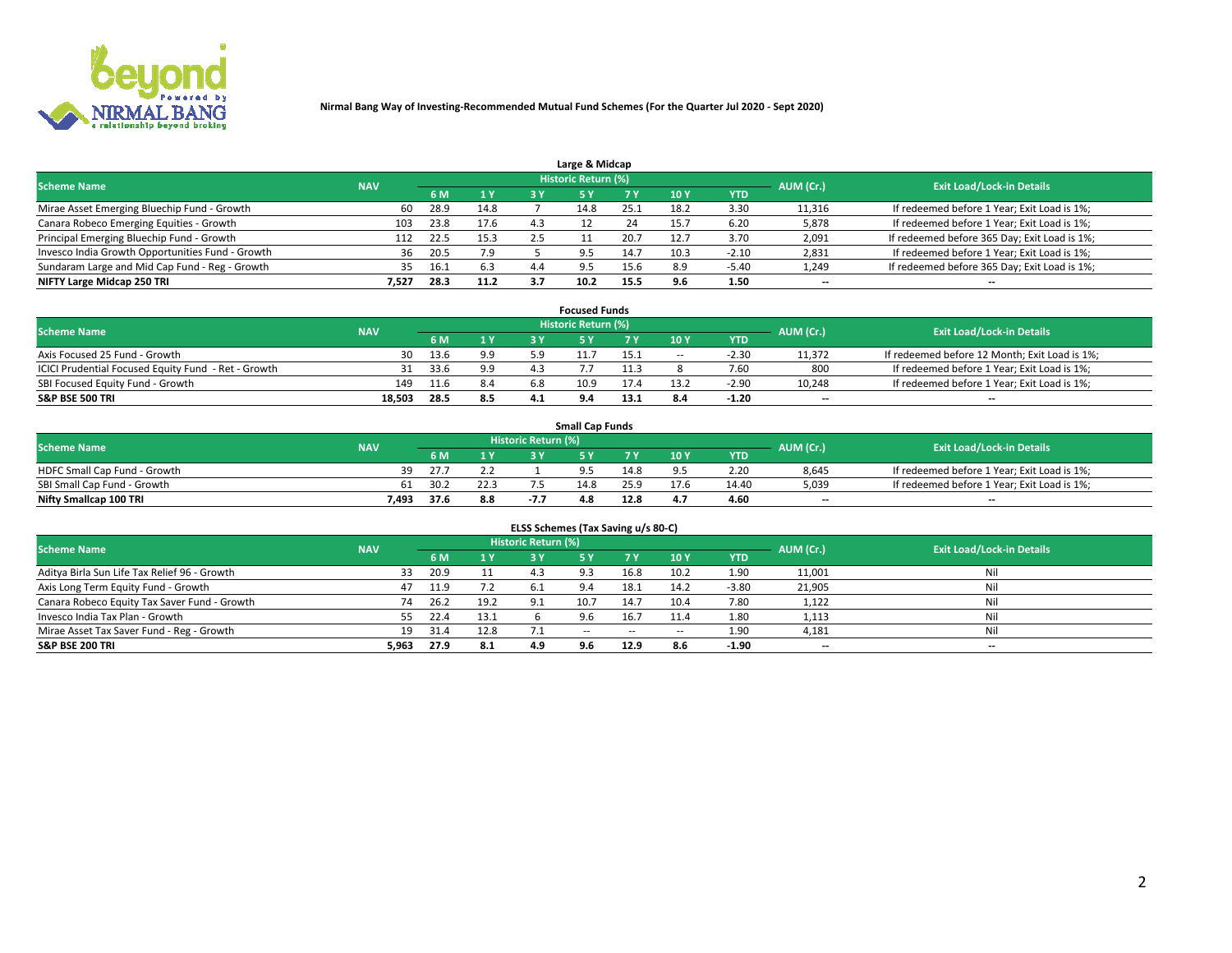

|                                                  |            |      |      |     | Large & Midcap             |      |      |         |                          |                                              |
|--------------------------------------------------|------------|------|------|-----|----------------------------|------|------|---------|--------------------------|----------------------------------------------|
| <b>Scheme Name</b>                               | <b>NAV</b> |      |      |     | <b>Historic Return (%)</b> |      |      |         | AUM (Cr.)                | <b>Exit Load/Lock-in Details</b>             |
|                                                  |            | 6 M  | 1Y   | 3 Y |                            | 7 V  | 10Y  | YTD     |                          |                                              |
| Mirae Asset Emerging Bluechip Fund - Growth      | 60         | 28.9 | 14.8 |     | 14.8                       | 25.1 | 18.2 | 3.30    | 11,316                   | If redeemed before 1 Year; Exit Load is 1%;  |
| Canara Robeco Emerging Equities - Growth         | 103        | 23.8 | 17.6 |     |                            | 24   | 15.  | 6.20    | 5,878                    | If redeemed before 1 Year; Exit Load is 1%;  |
| Principal Emerging Bluechip Fund - Growth        | 112        | 22.5 | 15.3 | 2.5 |                            | 20.7 | 12.7 | 3.70    | 2,091                    | If redeemed before 365 Day; Exit Load is 1%; |
| Invesco India Growth Opportunities Fund - Growth | 36         | 20.5 | 7.9  |     | 9.5                        |      | 10.3 | $-2.10$ | 2,831                    | If redeemed before 1 Year; Exit Load is 1%;  |
| Sundaram Large and Mid Cap Fund - Reg - Growth   | 35         | 16.1 | 6.3  | 4.4 | $Q$ 5                      | 15.6 | 8.9  | $-5.40$ | 1,249                    | If redeemed before 365 Day; Exit Load is 1%; |
| NIFTY Large Midcap 250 TRI                       | 7.527      | 28.3 | 11.2 |     |                            | 15.5 | 9.6  | 1.50    | $\overline{\phantom{a}}$ | $- -$                                        |

|                                                     |            |      |                |     | <b>Focused Funds</b> |      |        |            |                          |                                               |
|-----------------------------------------------------|------------|------|----------------|-----|----------------------|------|--------|------------|--------------------------|-----------------------------------------------|
| <b>Scheme Name</b>                                  | <b>NAV</b> |      |                |     | Historic Return (%)  |      |        |            | AUM (Cr.)                | <b>Exit Load/Lock-in Details</b>              |
|                                                     |            | 6 M  | 1 <sub>V</sub> |     |                      |      | 10 Y   | <b>YTD</b> |                          |                                               |
| Axis Focused 25 Fund - Growth                       | 30         | 13.6 | 9.9            |     |                      | 15.1 | $\sim$ | $-2.3C$    | 11,372                   | If redeemed before 12 Month; Exit Load is 1%; |
| ICICI Prudential Focused Equity Fund - Ret - Growth | 31         | 33.6 | 9.9            | 4.3 |                      | .1.3 |        | 7.60       | 800                      | If redeemed before 1 Year; Exit Load is 1%;   |
| SBI Focused Equity Fund - Growth                    | 149        | 11.6 | 8.4            |     | 10.9                 |      |        | $-2.90$    | 10,248                   | If redeemed before 1 Year; Exit Load is 1%;   |
| <b>S&amp;P BSE 500 TRI</b>                          | 18.503     | 28.5 | 8.5            |     |                      | 13.1 |        | $-1.20$    | $\overline{\phantom{a}}$ | $- -$                                         |

| <b>Small Cap Funds</b>       |            |      |      |                     |      |           |                                  |            |       |                                             |  |  |  |
|------------------------------|------------|------|------|---------------------|------|-----------|----------------------------------|------------|-------|---------------------------------------------|--|--|--|
| <b>Scheme Name</b>           | <b>NAV</b> |      |      | Historic Return (%) |      | AUM (Cr.) | <b>Exit Load/Lock-in Details</b> |            |       |                                             |  |  |  |
|                              |            | 6 M  | 1 Y  |                     |      |           | 10 <sub>Y</sub>                  | <b>YTD</b> |       |                                             |  |  |  |
| HDFC Small Cap Fund - Growth | 39         | 27.7 |      |                     |      | 14.8      |                                  | 2.20       | 8,645 | If redeemed before 1 Year; Exit Load is 1%; |  |  |  |
| SBI Small Cap Fund - Growth  | 61         | 30.2 | 22.3 |                     | 14.8 | 25.9      | 17.6                             | 14.40      | 5,039 | If redeemed before 1 Year; Exit Load is 1%; |  |  |  |
| Nifty Smallcap 100 TRI       | 7,493      | 37.6 | 8.8  | $-7.7$              | 4.8  | 12.8      |                                  | 4.60       | $- -$ | $- -$                                       |  |  |  |

| ELSS Schemes (Tax Saving u/s 80-C)           |            |      |      |                            |           |           |                          |            |                          |                                  |  |  |  |
|----------------------------------------------|------------|------|------|----------------------------|-----------|-----------|--------------------------|------------|--------------------------|----------------------------------|--|--|--|
| <b>Scheme Name</b>                           | <b>NAV</b> |      |      | <b>Historic Return (%)</b> |           |           |                          |            | AUM (Cr.)                | <b>Exit Load/Lock-in Details</b> |  |  |  |
|                                              |            | 6 M  | 1 Y  | 3 Y                        | <b>5Y</b> | <b>7Y</b> | 10Y                      | <b>YTD</b> |                          |                                  |  |  |  |
| Aditya Birla Sun Life Tax Relief 96 - Growth | 33         | 20.9 |      | 4.3                        | 9.3       | 16.8      | 10.2                     | 1.90       | 11,001                   | Nil                              |  |  |  |
| Axis Long Term Equity Fund - Growth          | 47         | 11.9 | 7.2  |                            |           | 18.1      | 14.2                     | $-3.80$    | 21,905                   | Nil                              |  |  |  |
| Canara Robeco Equity Tax Saver Fund - Growth | 74         | 26.2 | 19.2 | 9.1                        | 10.7      | 14.7      | 10.4                     | 7.80       | 1,122                    | Nil                              |  |  |  |
| Invesco India Tax Plan - Growth              | 55         | 22.4 | 13.1 |                            | 9.6       | 16.7      | 11.4                     | 1.80       | 1,113                    | Nil                              |  |  |  |
| Mirae Asset Tax Saver Fund - Reg - Growth    | 19         | 31.4 | 12.8 |                            | $- -$     | $\sim$    | $\overline{\phantom{a}}$ | 1.90       | 4,181                    | Nil                              |  |  |  |
| S&P BSE 200 TRI                              | 5,963      | 27.9 | 8.1  | 4.9                        | 9.6       | 12.9      | 8.6                      | $-1.90$    | $\overline{\phantom{a}}$ | $- -$                            |  |  |  |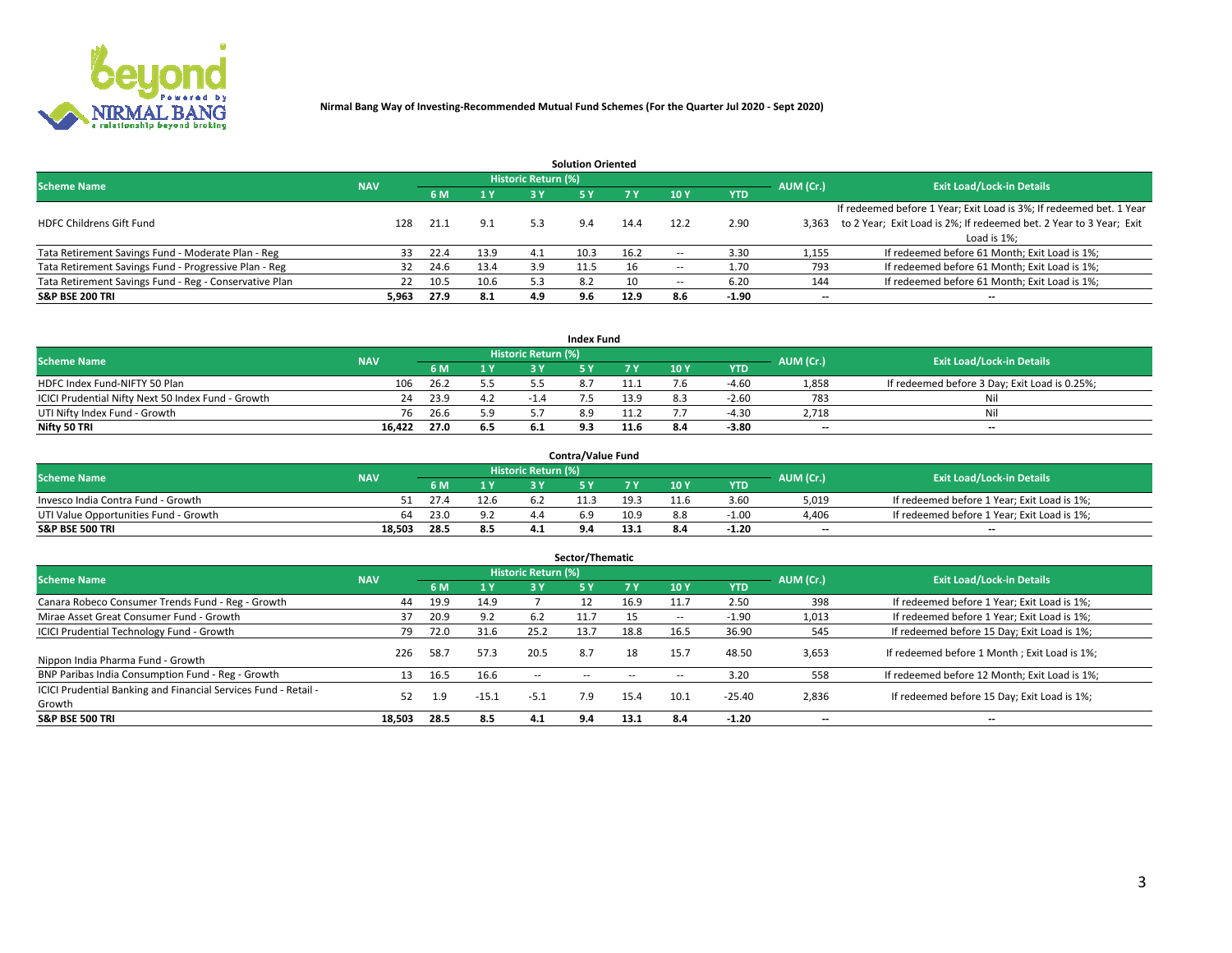

|                                                        |            |            |      |                            | <b>Solution Oriented</b> |      |                          |            |                          |                                                                     |
|--------------------------------------------------------|------------|------------|------|----------------------------|--------------------------|------|--------------------------|------------|--------------------------|---------------------------------------------------------------------|
| <b>Scheme Name</b>                                     | <b>NAV</b> |            |      | <b>Historic Return (%)</b> |                          |      |                          |            | AUM (Cr.)                | <b>Exit Load/Lock-in Details</b>                                    |
|                                                        |            | <b>6 M</b> | 1 Y  | 3 Y                        |                          |      | 10Y                      | <b>YTD</b> |                          |                                                                     |
|                                                        |            |            |      |                            |                          |      |                          |            |                          | If redeemed before 1 Year; Exit Load is 3%; If redeemed bet. 1 Year |
| <b>HDFC Childrens Gift Fund</b>                        | 128        | 21.1       | 9.1  | 5.3                        | 9.4                      | 14.4 | 12.2                     | 2.90       | 3.363                    | to 2 Year; Exit Load is 2%; If redeemed bet. 2 Year to 3 Year; Exit |
|                                                        |            |            |      |                            |                          |      |                          |            |                          | Load is 1%;                                                         |
| Tata Retirement Savings Fund - Moderate Plan - Reg     | 33         | 22.4       | 13.9 | 4.1                        | 10.3                     | 16.2 | --                       | 3.30       | 1,155                    | If redeemed before 61 Month; Exit Load is 1%;                       |
| Tata Retirement Savings Fund - Progressive Plan - Reg  | 32         | 24.6       | 13.4 | 3.9                        | 11.5                     | 16   | $\overline{\phantom{a}}$ | 1.70       | 793                      | If redeemed before 61 Month; Exit Load is 1%;                       |
| Tata Retirement Savings Fund - Reg - Conservative Plan | 22         | 10.5       | 10.6 | 5.3                        | 8.2                      | 10   | --                       | 6.20       | 144                      | If redeemed before 61 Month; Exit Load is 1%;                       |
| S&P BSE 200 TRI                                        | 5,963      | 27.9       | 8.1  | 4.9                        | 9.6                      | 12.9 | 8.6                      | $-1.90$    | $\overline{\phantom{a}}$ | $- -$                                                               |

|                                                    |            |      |                              |                            | <b>Index Fund</b> |      |      |            |                          |                                               |
|----------------------------------------------------|------------|------|------------------------------|----------------------------|-------------------|------|------|------------|--------------------------|-----------------------------------------------|
| <b>Scheme Name</b>                                 | <b>NAV</b> |      |                              | <b>Historic Return (%)</b> |                   |      |      |            | AUM (Cr.)                | <b>Exit Load/Lock-in Details</b>              |
|                                                    |            |      | $\triangleq$ $\triangledown$ | 2 V                        |                   | 7 V  | 10 Y | <b>YTD</b> |                          |                                               |
| HDFC Index Fund-NIFTY 50 Plan                      | 106        | 26.2 | 5.5                          |                            |                   |      |      | $-4.60$    | 1,858                    | If redeemed before 3 Day; Exit Load is 0.25%; |
| ICICI Prudential Nifty Next 50 Index Fund - Growth | 24         | 23.9 | 4.2                          |                            |                   | 13.9 |      | $-2.60$    | 783                      | Nil                                           |
| UTI Nifty Index Fund - Growth                      | 76         | 26.6 | 5.9                          |                            |                   |      |      | 1.30       | 2,718                    | Nil                                           |
| Nifty 50 TRI                                       | 16.422     | 27.0 | 6.5                          | -6.1                       |                   | 11.6 |      | $-3.80$    | $\overline{\phantom{a}}$ | $- -$                                         |

| <b>Contra/Value Fund</b>              |            |      |      |                     |      |      |     |            |                          |                                             |  |  |  |
|---------------------------------------|------------|------|------|---------------------|------|------|-----|------------|--------------------------|---------------------------------------------|--|--|--|
| <b>Scheme Name</b>                    | <b>NAV</b> |      |      | Historic Return (%) |      |      |     |            | AUM (Cr.)                | <b>Exit Load/Lock-in Details</b>            |  |  |  |
|                                       |            |      | 1 V  |                     |      | 7 V  | 10Y | <b>YTD</b> |                          |                                             |  |  |  |
| Invesco India Contra Fund - Growth    | 51         | 27.4 | 12.6 |                     | 11.3 | 19.3 |     | 3.60       | 5,019                    | If redeemed before 1 Year; Exit Load is 1%; |  |  |  |
| UTI Value Opportunities Fund - Growth | 64         | 23.0 |      |                     |      | 10.9 |     | $-1.00$    | 4,406                    | If redeemed before 1 Year; Exit Load is 1%; |  |  |  |
| <b>S&amp;P BSE 500 TRI</b>            | 18.503     | 28.5 | 8.5  |                     |      |      |     | $-1.20$    | $\overline{\phantom{a}}$ | $- -$                                       |  |  |  |

| Sector/Thematic                                                           |            |      |            |                            |           |      |                          |            |           |                                               |  |  |  |  |
|---------------------------------------------------------------------------|------------|------|------------|----------------------------|-----------|------|--------------------------|------------|-----------|-----------------------------------------------|--|--|--|--|
| <b>Scheme Name</b>                                                        | <b>NAV</b> |      |            | <b>Historic Return (%)</b> |           |      |                          |            | AUM (Cr.) | <b>Exit Load/Lock-in Details</b>              |  |  |  |  |
|                                                                           |            | 6 M  | <b>1 Y</b> | 3 Y                        | <b>5Y</b> | 7 Y  | 10Y                      | <b>YTD</b> |           |                                               |  |  |  |  |
| Canara Robeco Consumer Trends Fund - Reg - Growth                         | 44         | 19.9 | 14.9       |                            |           | 16.9 | 11.7                     | 2.50       | 398       | If redeemed before 1 Year; Exit Load is 1%;   |  |  |  |  |
| Mirae Asset Great Consumer Fund - Growth                                  | 37         | 20.9 | 9.2        | 6.2                        |           |      | $\overline{\phantom{a}}$ | $-1.90$    | 1,013     | If redeemed before 1 Year; Exit Load is 1%;   |  |  |  |  |
| <b>ICICI Prudential Technology Fund - Growth</b>                          | 79         | 72.0 | 31.6       | 25.2                       | 13.7      | 18.8 | 16.5                     | 36.90      | 545       | If redeemed before 15 Day; Exit Load is 1%;   |  |  |  |  |
| Nippon India Pharma Fund - Growth                                         | 226        | 58.7 | 57.3       | 20.5                       | 8.7       | 18   | 15.7                     | 48.50      | 3,653     | If redeemed before 1 Month; Exit Load is 1%;  |  |  |  |  |
| BNP Paribas India Consumption Fund - Reg - Growth                         | 13         | 16.5 | 16.6       | $-$                        | --        | --   | -                        | 3.20       | 558       | If redeemed before 12 Month; Exit Load is 1%; |  |  |  |  |
| ICICI Prudential Banking and Financial Services Fund - Retail -<br>Growth | 52         | 1.9  | $-15.1$    | $-5.1$                     | 7.9       | 15.4 | 10.1                     | $-25.40$   | 2,836     | If redeemed before 15 Day; Exit Load is 1%;   |  |  |  |  |
| <b>S&amp;P BSE 500 TRI</b>                                                | 18,503     | 28.5 | 8.5        | 4.1                        | 9.4       | 13.1 | 8.4                      | $-1.20$    |           | --                                            |  |  |  |  |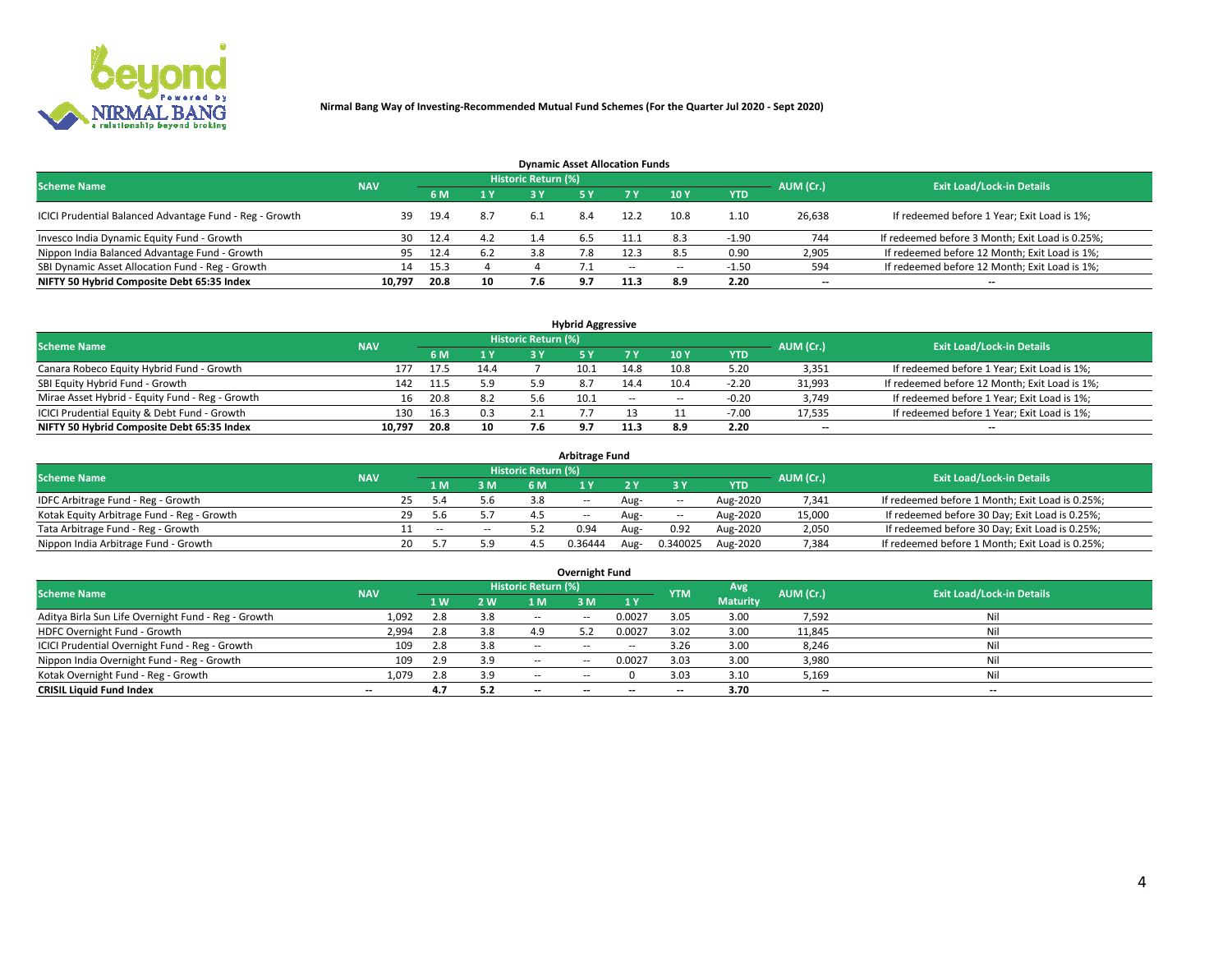

| <b>Dynamic Asset Allocation Funds</b>                   |            |      |     |                            |     |       |      |            |                          |                                                 |  |  |  |  |
|---------------------------------------------------------|------------|------|-----|----------------------------|-----|-------|------|------------|--------------------------|-------------------------------------------------|--|--|--|--|
| <b>Scheme Name</b>                                      | <b>NAV</b> |      |     | <b>Historic Return (%)</b> |     |       |      |            | AUM (Cr.)                | <b>Exit Load/Lock-in Details</b>                |  |  |  |  |
|                                                         |            | 6 M  | 1 Y | 3 Y                        |     |       | 10Y  | <b>YTD</b> |                          |                                                 |  |  |  |  |
| ICICI Prudential Balanced Advantage Fund - Reg - Growth | 39         | 19.4 | 8.7 | -6.1                       | 8.4 | 12.2  | 10.8 | 1.10       | 26,638                   | If redeemed before 1 Year; Exit Load is 1%;     |  |  |  |  |
| Invesco India Dynamic Equity Fund - Growth              | 30         | 12.4 | 4.2 | 1.4                        | 6.5 | 11.1  | 8.3  | $-1.90$    | 744                      | If redeemed before 3 Month; Exit Load is 0.25%; |  |  |  |  |
| Nippon India Balanced Advantage Fund - Growth           | 95         | 12.4 | 6.2 | 3.8                        |     | 12.3  | 8.5  | 0.90       | 2,905                    | If redeemed before 12 Month; Exit Load is 1%;   |  |  |  |  |
| SBI Dynamic Asset Allocation Fund - Reg - Growth        | 14         | 15.3 |     |                            |     | $- -$ | --   | $-1.50$    | 594                      | If redeemed before 12 Month; Exit Load is 1%;   |  |  |  |  |
| NIFTY 50 Hybrid Composite Debt 65:35 Index              | 10,797     | 20.8 | 10  |                            | 9.7 | 11.3  | 8.9  | 2.20       | $\overline{\phantom{a}}$ | $- -$                                           |  |  |  |  |

| <b>Hybrid Aggressive</b>                                                                                 |        |      |      |    |      |            |                          |            |        |                                               |  |  |  |  |
|----------------------------------------------------------------------------------------------------------|--------|------|------|----|------|------------|--------------------------|------------|--------|-----------------------------------------------|--|--|--|--|
| Historic Return (%)<br><b>Exit Load/Lock-in Details</b><br><b>Scheme Name</b><br>AUM (Cr.)<br><b>NAV</b> |        |      |      |    |      |            |                          |            |        |                                               |  |  |  |  |
|                                                                                                          |        | 6 M  | 1 Y  | RУ |      | 7 V        | 10Y                      | <b>YTD</b> |        |                                               |  |  |  |  |
| Canara Robeco Equity Hybrid Fund - Growth                                                                | 177    | 17.5 | 14.4 |    | 10.1 | 14.8       | 10.8                     | 5.20       | 3,351  | If redeemed before 1 Year; Exit Load is 1%;   |  |  |  |  |
| SBI Equity Hybrid Fund - Growth                                                                          | 142    | 11.5 | 5.9  |    |      | 14.4       | 10.4                     | $-2.20$    | 31,993 | If redeemed before 12 Month; Exit Load is 1%; |  |  |  |  |
| Mirae Asset Hybrid - Equity Fund - Reg - Growth                                                          | 16     | 20.8 | 8.2  |    | 10.1 | $\sim$ $-$ | $\overline{\phantom{a}}$ | $-0.20$    | 3,749  | If redeemed before 1 Year; Exit Load is 1%;   |  |  |  |  |
| ICICI Prudential Equity & Debt Fund - Growth                                                             | 130    | 16.3 | 0.3  |    |      |            |                          | -7.00      | 17,535 | If redeemed before 1 Year; Exit Load is 1%;   |  |  |  |  |
| NIFTY 50 Hybrid Composite Debt 65:35 Index                                                               | 10.797 | 20.8 | 10   |    |      | 11.3       |                          | 2.20       | $- -$  | $- -$                                         |  |  |  |  |

| <b>Arbitrage Fund</b>                      |            |    |       |        |                            |            |      |        |                   |           |                                                 |  |  |  |
|--------------------------------------------|------------|----|-------|--------|----------------------------|------------|------|--------|-------------------|-----------|-------------------------------------------------|--|--|--|
| <b>Scheme Name</b>                         | <b>NAV</b> |    |       |        | <b>Historic Return (%)</b> |            |      |        |                   | AUM (Cr.) | <b>Exit Load/Lock-in Details</b>                |  |  |  |
|                                            |            |    | 1 M   | 3 M    |                            |            |      |        | <b>YTD</b>        |           |                                                 |  |  |  |
| IDFC Arbitrage Fund - Reg - Growth         |            |    |       | 5.6    | 3.8                        | $\sim$ $-$ | Aug- | $\sim$ | Aug-2020          | 7,341     | If redeemed before 1 Month; Exit Load is 0.25%; |  |  |  |
| Kotak Equity Arbitrage Fund - Reg - Growth |            | 29 | 5.b   |        |                            | $- -$      | Aug- | $\sim$ | Aug-2020          | 15,000    | If redeemed before 30 Day; Exit Load is 0.25%;  |  |  |  |
| Tata Arbitrage Fund - Reg - Growth         |            |    | $- -$ | $\sim$ |                            | 0.94       | Aug- | 0.92   | Aug-2020          | 2,050     | If redeemed before 30 Day; Exit Load is 0.25%;  |  |  |  |
| Nippon India Arbitrage Fund - Growth       |            | 20 |       | 5.9    |                            | 0.36444    |      |        | 0.340025 Aug-2020 | 7,384     | If redeemed before 1 Month; Exit Load is 0.25%; |  |  |  |

| <b>Overnight Fund</b>                               |                                  |     |     |            |            |           |            |                 |           |     |  |  |  |  |
|-----------------------------------------------------|----------------------------------|-----|-----|------------|------------|-----------|------------|-----------------|-----------|-----|--|--|--|--|
| <b>Scheme Name</b>                                  | <b>Exit Load/Lock-in Details</b> |     |     |            |            |           |            |                 |           |     |  |  |  |  |
|                                                     | <b>NAV</b>                       | 1 W | 2 W | 1 M        | 3 M        | <b>1Y</b> | <b>YTM</b> | <b>Maturity</b> | AUM (Cr.) |     |  |  |  |  |
| Aditya Birla Sun Life Overnight Fund - Reg - Growth | 1,092                            |     | 3.8 | $\sim$ $-$ | $\sim$ $-$ | 0.0027    | 3.05       | 3.00            | 7,592     | Nil |  |  |  |  |
| HDFC Overnight Fund - Growth                        | 2,994                            |     | 3.8 | 4.9        |            | 0.0027    | 3.02       | 3.00            | 11,845    | Nil |  |  |  |  |
| ICICI Prudential Overnight Fund - Reg - Growth      | 109                              |     | 3.8 | $\sim$ $-$ | --         | --        | 3.26       | 3.00            | 8,246     | Nil |  |  |  |  |
| Nippon India Overnight Fund - Reg - Growth          | 109                              | 2.9 | 3.9 | $- -$      | $-$        | 0.0027    | 3.03       | 3.00            | 3,980     | Nil |  |  |  |  |
| Kotak Overnight Fund - Reg - Growth                 | 1,079                            | 2.8 | 3.9 | $\sim$ $-$ | ---        |           | 3.03       | 3.10            | 5,169     | Nil |  |  |  |  |
| <b>CRISIL Liquid Fund Index</b>                     | $- -$                            | 4.7 | 5.2 | $- -$      |            |           | --         | 3.70            | $-$       | --  |  |  |  |  |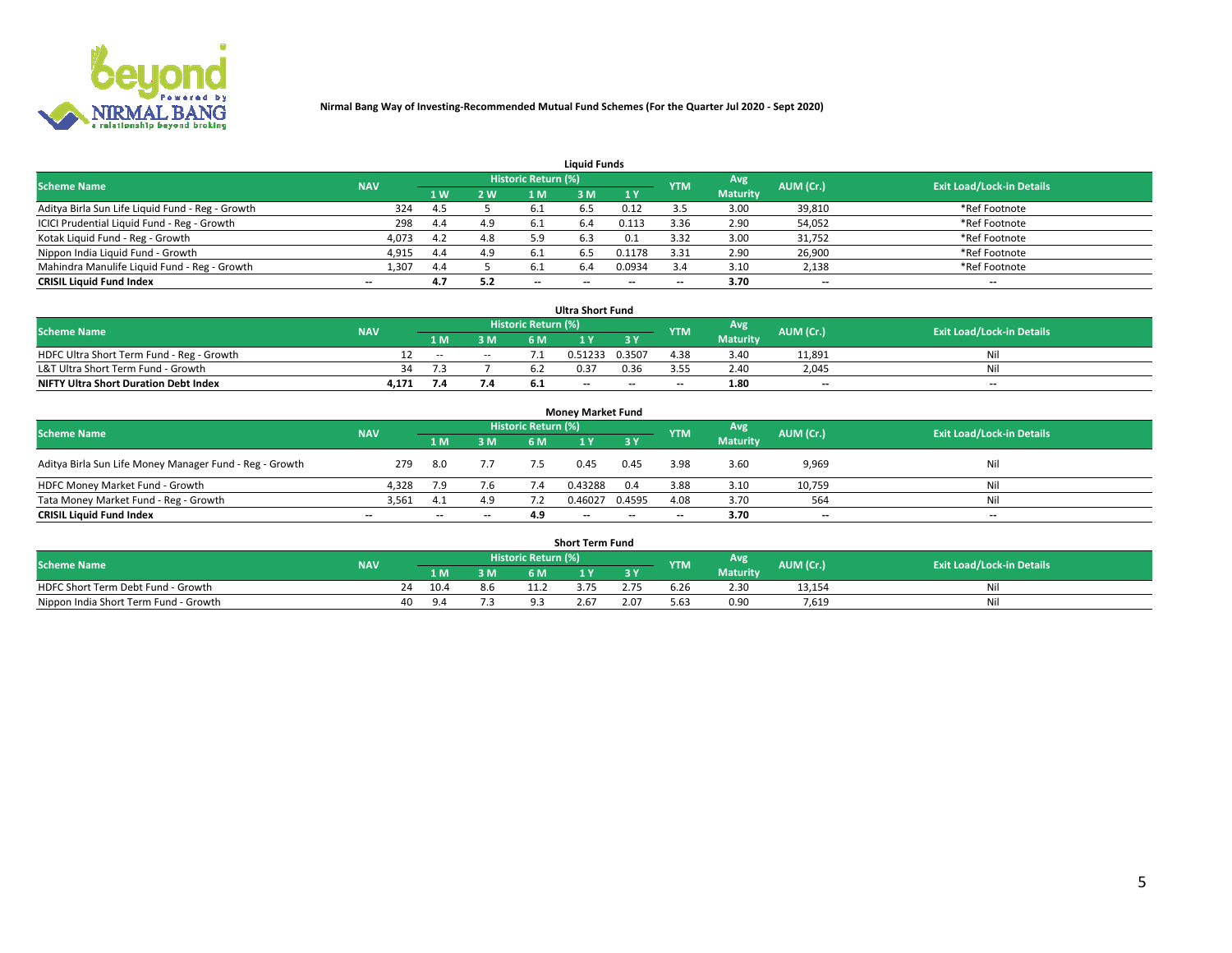

| <b>Liquid Funds</b>                              |            |     |     |                          |     |        |            |                 |                          |                                  |  |  |  |  |
|--------------------------------------------------|------------|-----|-----|--------------------------|-----|--------|------------|-----------------|--------------------------|----------------------------------|--|--|--|--|
| <b>Scheme Name</b>                               | <b>NAV</b> |     |     | Historic Return (%)      |     |        | <b>YTM</b> | <b>Avg</b>      | AUM (Cr.)                | <b>Exit Load/Lock-in Details</b> |  |  |  |  |
|                                                  |            | 1 W | 2 W | 1 M                      | ះ M | 1Y     |            | <b>Maturity</b> |                          |                                  |  |  |  |  |
| Aditya Birla Sun Life Liquid Fund - Reg - Growth | 324        | 4.5 |     | -6.1                     |     | 0.12   |            | 3.00            | 39,810                   | *Ref Footnote                    |  |  |  |  |
| ICICI Prudential Liquid Fund - Reg - Growth      | 298        | 4.4 | 4.9 | -6.1                     | 6.4 | 0.113  | 3.36       | 2.90            | 54,052                   | *Ref Footnote                    |  |  |  |  |
| Kotak Liquid Fund - Reg - Growth                 | 4,073      | 4.2 | 4.8 | 5.9                      | b.3 | 0.1    | 3.32       | 3.00            | 31,752                   | *Ref Footnote                    |  |  |  |  |
| Nippon India Liquid Fund - Growth                | 4,915      | 4.4 | 4.9 | -6.1                     | 6.5 | 0.1178 | 3.31       | 2.90            | 26,900                   | *Ref Footnote                    |  |  |  |  |
| Mahindra Manulife Liquid Fund - Reg - Growth     | 1,307      | 4.4 |     |                          |     | 0.0934 |            | 3.10            | 2,138                    | *Ref Footnote                    |  |  |  |  |
| <b>CRISIL Liquid Fund Index</b>                  | $- -$      | 4.7 | 5.2 | $\overline{\phantom{a}}$ |     | $- -$  |            | 3.70            | $\overline{\phantom{a}}$ | $- -$                            |  |  |  |  |

| <b>Ultra Short Fund</b>                      |            |               |                          |                            |         |        |                          |                 |                          |                                  |  |  |  |  |
|----------------------------------------------|------------|---------------|--------------------------|----------------------------|---------|--------|--------------------------|-----------------|--------------------------|----------------------------------|--|--|--|--|
| <b>Scheme Name</b>                           | <b>NAV</b> |               |                          | <b>Historic Return (%)</b> |         |        | <b>YTM</b>               | Avg             | AUM (Cr.)                | <b>Exit Load/Lock-in Details</b> |  |  |  |  |
|                                              |            | 1 M           | 3 M                      | 6 M                        |         |        |                          | <b>Maturity</b> |                          |                                  |  |  |  |  |
| HDFC Ultra Short Term Fund - Reg - Growth    |            | $\sim$ $\sim$ | $\overline{\phantom{a}}$ |                            | 0.51233 | 0.3507 | 4.38                     | 3.40            | 11.891                   | Ni                               |  |  |  |  |
| L&T Ultra Short Term Fund - Growth           | 34         |               |                          |                            | 0.37    | 0.36   | २ ५०                     | 2.40            | 2.045                    | Ni                               |  |  |  |  |
| <b>NIFTY Ultra Short Duration Debt Index</b> | 4,171      | 7.4           | 7.4                      | <b>D.</b>                  | $-$     | $- -$  | $\overline{\phantom{a}}$ | 1.80            | $\overline{\phantom{a}}$ | $\overline{\phantom{a}}$         |  |  |  |  |

| <b>Money Market Fund</b>                                |            |       |     |                     |         |        |                          |                 |                          |                                  |  |  |  |  |
|---------------------------------------------------------|------------|-------|-----|---------------------|---------|--------|--------------------------|-----------------|--------------------------|----------------------------------|--|--|--|--|
| <b>Scheme Name</b>                                      | <b>NAV</b> |       |     | Historic Return (%) |         |        | <b>YTM</b>               | Avg             | AUM (Cr.)                | <b>Exit Load/Lock-in Details</b> |  |  |  |  |
|                                                         |            | 1 M   | 3 M | 6 M                 |         | 3 Y    |                          | <b>Maturity</b> |                          |                                  |  |  |  |  |
| Aditya Birla Sun Life Money Manager Fund - Reg - Growth | 279        | -8.0  |     | 7.5                 | 0.45    | 0.45   | 3.98                     | 3.60            | 9,969                    | Nil                              |  |  |  |  |
| HDFC Money Market Fund - Growth                         | 4,328      | 7.9   | 7.6 |                     | 0.43288 | 0.4    | 3.88                     | 3.10            | 10,759                   | Nil                              |  |  |  |  |
| Tata Money Market Fund - Reg - Growth                   | 3,561      |       | 4.9 |                     | 0.46027 | 0.4595 | 4.08                     | 3.70            | 564                      | Nil                              |  |  |  |  |
| <b>CRISIL Liquid Fund Index</b>                         | $- -$      | $- -$ | $-$ | 4.9                 | $- -$   | $- -$  | $\overline{\phantom{a}}$ | 3.70            | $\overline{\phantom{a}}$ | $- -$                            |  |  |  |  |

|                                       |            |            |     |                     | <b>Short Term Fund</b> |      |      |                 |           |                                  |
|---------------------------------------|------------|------------|-----|---------------------|------------------------|------|------|-----------------|-----------|----------------------------------|
| <b>Scheme Name</b>                    | <b>NAV</b> |            |     | Historic Return (%) |                        |      | YTM  | Avg             | AUM (Cr.) | <b>Exit Load/Lock-in Details</b> |
|                                       |            | 1 M .      | 3 M | 6 M                 |                        | 2V   |      | <b>Maturity</b> |           |                                  |
| HDFC Short Term Debt Fund - Growth    |            | 10.4       | 8.6 |                     | د د                    | 2.75 | b.Zb | 2.30            | 13,154    | M                                |
| Nippon India Short Term Fund - Growth | 40         | $^{\circ}$ |     |                     | 2.67                   | 2.07 | 5.63 | 0.90            | 7.619     | N                                |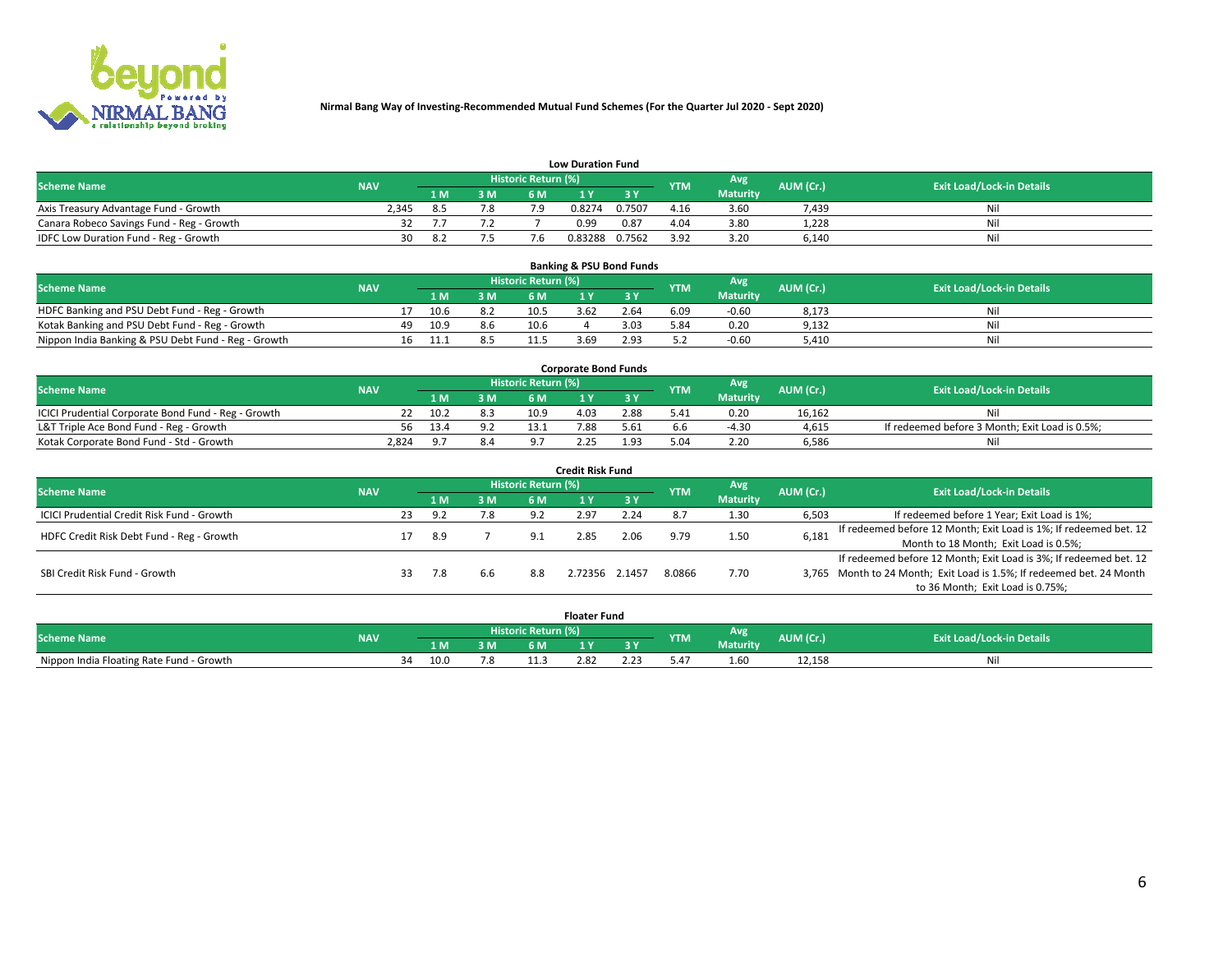

|                                           | <b>Low Duration Fund</b> |      |        |                            |         |        |            |                 |           |                                  |  |  |  |  |  |
|-------------------------------------------|--------------------------|------|--------|----------------------------|---------|--------|------------|-----------------|-----------|----------------------------------|--|--|--|--|--|
| <b>Scheme Name</b>                        | <b>NAV</b>               |      |        | <b>Historic Return (%)</b> |         |        | <b>YTM</b> | Avg             | AUM (Cr.) | <b>Exit Load/Lock-in Details</b> |  |  |  |  |  |
|                                           |                          | 1 M. | 3 M    |                            |         |        |            | <b>Maturity</b> |           |                                  |  |  |  |  |  |
| Axis Treasury Advantage Fund - Growth     | 2.345                    |      | 7.8    | ى 7                        | 0.8274  | 0.7507 | 4.16       | 3.60            | 7,439     | Nil                              |  |  |  |  |  |
| Canara Robeco Savings Fund - Reg - Growth |                          |      |        |                            | 0.99    | 0.87   | 4.04       | 3.80            | 1,228     | Nil                              |  |  |  |  |  |
| IDFC Low Duration Fund - Reg - Growth     | 30                       | - 87 | $\sim$ |                            | 0.83288 | 0.7562 | 3.92       | 3.20            | 6,140     | Nil                              |  |  |  |  |  |

| <b>Banking &amp; PSU Bond Funds</b>                 |            |     |      |     |                     |      |      |            |                 |           |                                  |  |  |  |
|-----------------------------------------------------|------------|-----|------|-----|---------------------|------|------|------------|-----------------|-----------|----------------------------------|--|--|--|
| <b>Scheme Name</b>                                  | <b>NAV</b> |     |      |     | Historic Return (%) |      |      | <b>YTM</b> | Avg             | AUM (Cr.) | <b>Exit Load/Lock-in Details</b> |  |  |  |
|                                                     |            |     | 1 M. | 3 M | 6 M                 |      |      |            | <b>Maturity</b> |           |                                  |  |  |  |
| HDFC Banking and PSU Debt Fund - Reg - Growth       |            |     | 10.6 | 8.2 | 10.5                | 3.62 | 2.64 | 6.09       | $-0.60$         | 8,173     | Ni                               |  |  |  |
| Kotak Banking and PSU Debt Fund - Reg - Growth      |            | 49. | 10.9 | 8.6 | 10.6                |      | 3.03 | 5.84       | 0.20            | 9,132     | Ni                               |  |  |  |
| Nippon India Banking & PSU Debt Fund - Reg - Growth |            | 16  | 11.1 |     | 11.5                | 3.69 | 2.93 |            | $-0.60$         | 5.410     | Ni                               |  |  |  |

| <b>Corporate Bond Funds</b>                         |            |      |     |                            |      |      |            |                 |           |                                                |  |  |  |  |
|-----------------------------------------------------|------------|------|-----|----------------------------|------|------|------------|-----------------|-----------|------------------------------------------------|--|--|--|--|
| <b>Scheme Name</b>                                  | <b>NAV</b> |      |     | <b>Historic Return (%)</b> |      |      | <b>YTM</b> | Avg             | AUM (Cr.) | <b>Exit Load/Lock-in Details</b>               |  |  |  |  |
|                                                     |            | 1 M  | 3 M | 6 M                        |      | 3 Y  |            | <b>Maturity</b> |           |                                                |  |  |  |  |
| ICICI Prudential Corporate Bond Fund - Reg - Growth |            | 10.2 |     | 10.9                       | 4.03 | 2.88 | 5.41       | 0.20            | 16.162    |                                                |  |  |  |  |
| L&T Triple Ace Bond Fund - Reg - Growth             | 56         | 13.4 | 9.2 | 13'                        | 7.88 | 5.61 |            | $-4.3C$         | 4,615     | If redeemed before 3 Month; Exit Load is 0.5%; |  |  |  |  |
| Kotak Corporate Bond Fund - Std - Growth            | 2,824      |      | 8.4 |                            | 2.25 | 1.93 |            | 2.20            | 6,586     | Nil                                            |  |  |  |  |

| <b>Credit Risk Fund</b>                    |            |    |       |     |                            |                |           |            |                 |           |                                                                       |  |  |  |
|--------------------------------------------|------------|----|-------|-----|----------------------------|----------------|-----------|------------|-----------------|-----------|-----------------------------------------------------------------------|--|--|--|
| <b>Scheme Name</b>                         | <b>NAV</b> |    |       |     | <b>Historic Return (%)</b> |                |           | <b>YTM</b> | Avg             | AUM (Cr.) | <b>Exit Load/Lock-in Details</b>                                      |  |  |  |
|                                            |            |    | 1 M   | 3 M | 6 M                        |                | <b>3Y</b> |            | <b>Maturity</b> |           |                                                                       |  |  |  |
| ICICI Prudential Credit Risk Fund - Growth |            | 23 | -9. 2 | 7.8 | 9.2                        | 2.97           | 2.24      |            | 1.30            | 6,503     | If redeemed before 1 Year; Exit Load is 1%;                           |  |  |  |
| HDFC Credit Risk Debt Fund - Reg - Growth  |            |    | 8.9   |     | 9.1                        | 2.85           | 2.06      | 9.79       | 1.50            | 6,181     | If redeemed before 12 Month; Exit Load is 1%; If redeemed bet. 12     |  |  |  |
|                                            |            |    |       |     |                            |                |           |            |                 |           | Month to 18 Month; Exit Load is 0.5%;                                 |  |  |  |
|                                            |            |    |       |     |                            |                |           |            |                 |           | If redeemed before 12 Month; Exit Load is 3%; If redeemed bet. 12     |  |  |  |
| SBI Credit Risk Fund - Growth              |            | 33 | 7.8   | 6.6 | 8.8                        | 2.72356 2.1457 |           | 8.0866     | 7.70            |           | 3,765 Month to 24 Month; Exit Load is 1.5%; If redeemed bet. 24 Month |  |  |  |
|                                            |            |    |       |     |                            |                |           |            |                 |           | to 36 Month; Exit Load is 0.75%;                                      |  |  |  |

| <b>Floater Fund</b>                      |            |    |      |     |                     |      |      |            |                 |           |                                  |  |
|------------------------------------------|------------|----|------|-----|---------------------|------|------|------------|-----------------|-----------|----------------------------------|--|
| <b>Scheme Name</b>                       | <b>NAV</b> |    |      |     | Historic Return (%) |      |      | <b>YTM</b> | <b>Avg</b>      | AUM (Cr.) | <b>Exit Load/Lock-in Details</b> |  |
|                                          |            |    | 1 M  | 3 M | 6 M                 | . .  | n c  |            | <b>Maturity</b> |           |                                  |  |
| Nippon India Floating Rate Fund - Growth |            | ٦Δ | 10.0 | 7.8 | .                   | 2.82 | 2.23 | 5.4        | $\sim$<br>1.60  | 12,158    | Νı                               |  |